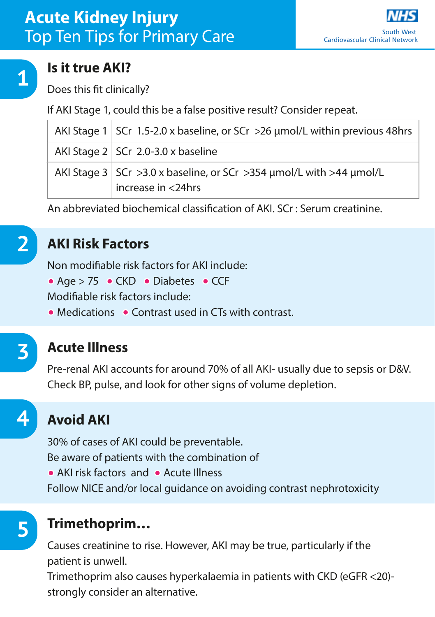

#### **Is it true AKI?**

Does this fit clinically?

If AKI Stage 1, could this be a false positive result? Consider repeat.

| AKI Stage 1   SCr 1.5-2.0 x baseline, or SCr >26 µmol/L within previous 48hrs                            |
|----------------------------------------------------------------------------------------------------------|
| AKI Stage $2 \mid$ SCr 2.0-3.0 x baseline                                                                |
| AKI Stage 3   SCr > 3.0 x baseline, or SCr > 354 $\mu$ mol/L with > 44 $\mu$ mol/L<br>increase in <24hrs |

An abbreviated biochemical classification of AKI. SCr : Serum creatinine.



#### **AKI Risk Factors**

Non modifiable risk factors for AKI include:

• Age > 75 • CKD • Diabetes • CCF

Modifiable risk factors include:

• Medications • Contrast used in CTs with contrast.

# **3**

**4**

**5**

#### **Acute Illness**

Pre-renal AKI accounts for around 70% of all AKI- usually due to sepsis or D&V. Check BP, pulse, and look for other signs of volume depletion.

## **Avoid AKI**

30% of cases of AKI could be preventable. Be aware of patients with the combination of • AKI risk factors and • Acute Illness Follow NICE and/or local guidance on avoiding contrast nephrotoxicity

### **Trimethoprim…**

Causes creatinine to rise. However, AKI may be true, particularly if the patient is unwell.

Trimethoprim also causes hyperkalaemia in patients with CKD (eGFR <20) strongly consider an alternative.